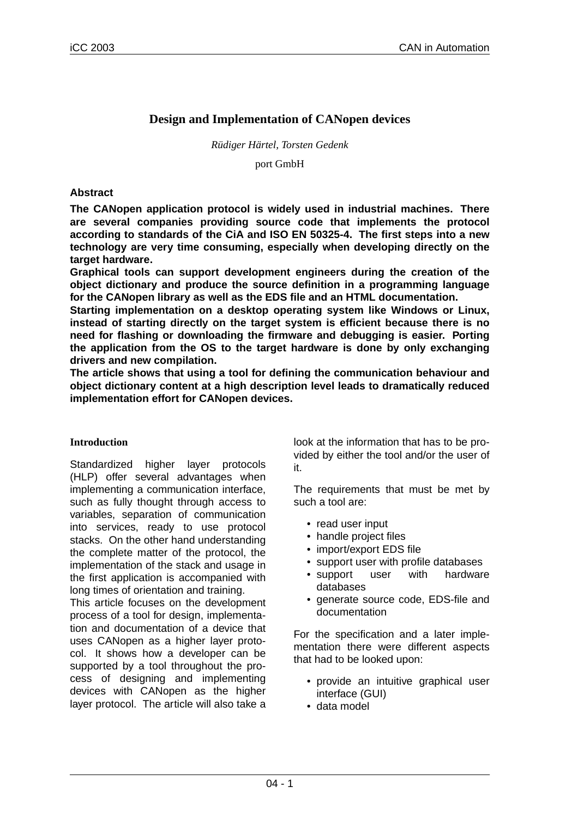# **Design and Implementation of CANopen devices**

*Rüdiger Härtel, Torsten Gedenk*

port GmbH

## **Abstract**

**The CANopen application protocol is widely used in industrial machines. There are several companies providing source code that implements the protocol according to standards of the CiA and ISO EN 50325-4. The first steps into a new technology are very time consuming, especially when developing directly on the target hardware .**

**Graphical tools can support development engineers during the creation of the object dictionary and produce the source definition in a programming language for the CANopen library as well as the EDS file and an HTML documentation.**

**Star ting implementation on a desktop operating system like Windows or Linux, instead of starting directly on the target system is efficient because there is no need for flashing or downloading the firmware and debugging is easier. Porting the application from the OS to the target hardware is done by only exchanging drivers and new compilation.**

**The article shows that using a tool for defining the communication behaviour and object dictionary content at a high description level leads to dramatically reduced implementation effort for CANopen devices.** 

#### **Introduction**

Standardized higher layer protocols (HLP) offer several advantages when implementing a communication interface, such as fully thought through access to variables, separation of communication into services, ready to use protocol stacks. On the other hand understanding the complete matter of the protocol, the implementation of the stack and usage in the first application is accompanied with long times of orientation and training.

This article focuses on the development process of a tool for design, implementation and documentation of a device that uses CANopen as a higher layer protocol. It shows how a developer can be supported by a tool throughout the process of designing and implementing devices with CANopen as the higher layer protocol. The article will also take a

look at the information that has to be provided by either the tool and/or the user of it.

The requirements that must be met by such a tool are:

- read user input
- handle project files
- import/export EDS file
- support user with profile databases
- support user with hardware databases
- generate source code, EDS-file and documentation

For the specification and a later implementation there were different aspects that had to be looked upon:

- provide an intuitive graphical user interface (GUI)
- data model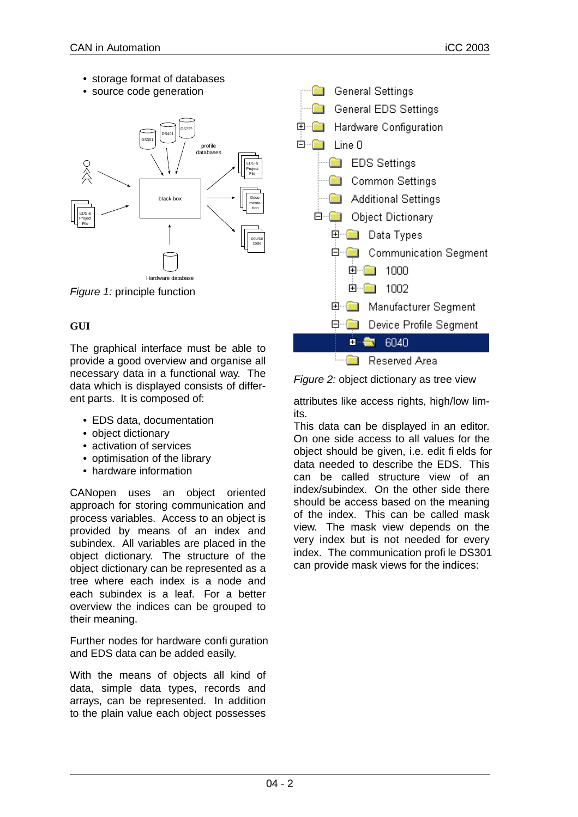- storage format of databases
- source code generation



Figure 1: principle function

## **GUI**

The graphical interface must be able to provide a good overview and organise all necessary data in a functional way. The data which is displayed consists of different parts. It is composed of:

- EDS data, documentation
- object dictionary
- activation of services
- optimisation of the library
- hardware information

CANopen uses an object oriented approach for storing communication and process variables. Access to an object is provided by means of an index and subindex. All variables are placed in the object dictionary. The structure of the object dictionary can be represented as a tree where each index is a node and each subindex is a leaf. For a better over view the indices can be grouped to their meaning.

Further nodes for hardware configuration and EDS data can be added easily.

With the means of objects all kind of data, simple data types, records and arrays, can be represented. In addition to the plain value each object possesses



Figure 2: object dictionary as tree view

attributes like access rights, high/low limits.

This data can be displayed in an editor. On one side access to all values for the object should be given, i.e. edit fields for data needed to describe the EDS. This can be called structure view of an index/subindex. On the other side there should be access based on the meaning of the index. This can be called mask view. The mask view depends on the very index but is not needed for every index. The communication profile DS301 can provide mask views for the indices: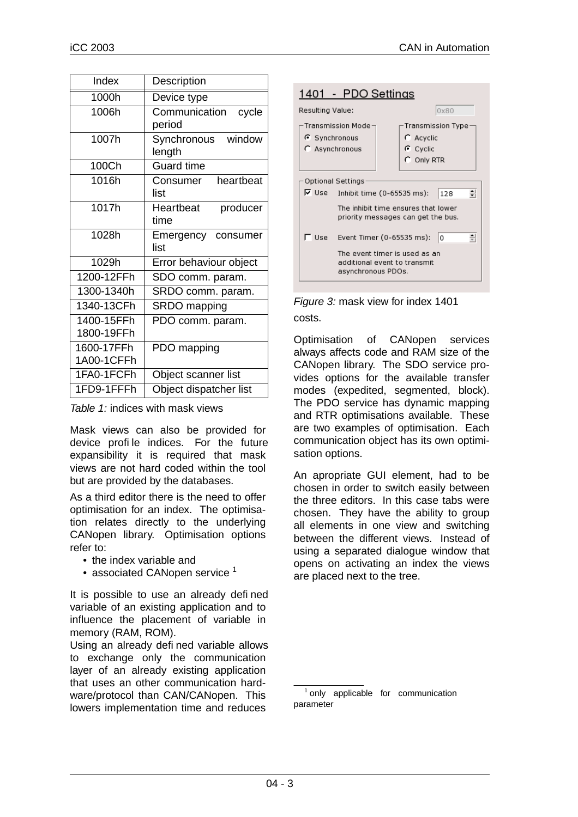| Index                    | Description                      |  |  |
|--------------------------|----------------------------------|--|--|
| 1000h                    | Device type                      |  |  |
| 1006h                    | Communication<br>cycle<br>period |  |  |
| 1007h                    | Synchronous<br>window<br>length  |  |  |
| 100Ch                    | <b>Guard time</b>                |  |  |
| 1016h                    | Consumer<br>heartbeat<br>list    |  |  |
| 1017h                    | Heartbeat<br>producer<br>time    |  |  |
| 1028h                    | Emergency consumer<br>list       |  |  |
| 1029h                    | Error behaviour object           |  |  |
| 1200-12FFh               | SDO comm. param.                 |  |  |
| 1300-1340h               | SRDO comm. param.                |  |  |
| 1340-13CFh               | SRDO mapping                     |  |  |
| 1400-15FFh<br>1800-19FFh | PDO comm. param.                 |  |  |
| 1600-17FFh<br>1A00-1CFFh | PDO mapping                      |  |  |
| 1FA0-1FCFh               | Object scanner list              |  |  |
| 1FD9-1FFFh               | Object dispatcher list           |  |  |

Table 1: indices with mask views

Mask views can also be provided for device profile indices. For the future expansibility it is required that mask views are not hard coded within the tool but are provided by the databases.

As a third editor there is the need to offer optimisation for an index. The optimisation relates directly to the underlying CANopen library. Optimisation options refer to:

- the index variable and
- associated CANopen service  $1$

It is possible to use an already defined variable of an existing application and to influence the placement of variable in memory (RAM, ROM).

Using an already defined variable allows to exchange only the communication layer of an already existing application that uses an other communication hardware/protocol than CAN/CANopen. This lowers implementation time and reduces



Figure 3: mask view for index 1401 costs.

Optimisation of CANopen services always affects code and RAM size of the CANopen library. The SDO service provides options for the available transfer modes (expedited, segmented, block). The PDO service has dynamic mapping and RTR optimisations available. These are two examples of optimisation. Each communication object has its own optimisation options.

An apropriate GUI element, had to be chosen in order to switch easily between the three editors. In this case tabs were chosen. They have the ability to group all elements in one view and switching between the different views. Instead of using a separated dialogue window that opens on activating an index the views are placed next to the tree.

 $1$  only applicable for communication parameter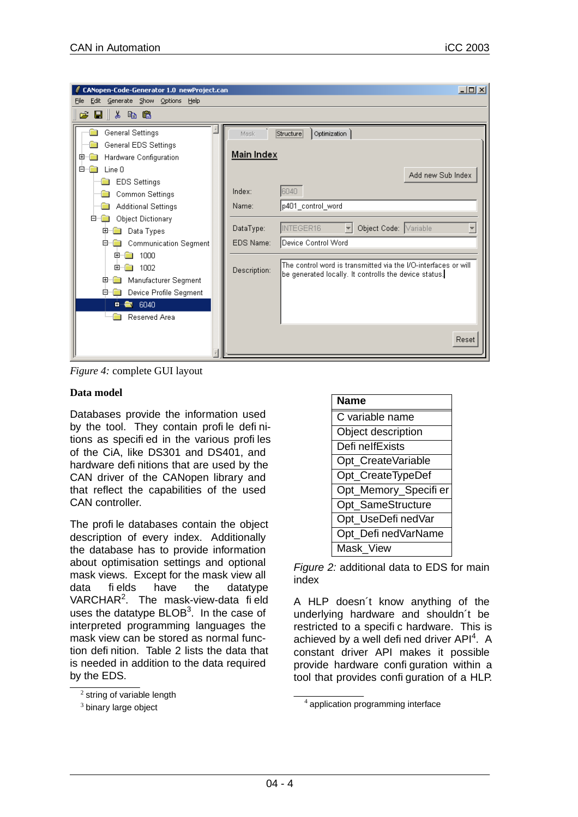| CANopen-Code-Generator 1.0 newProject.can<br>Generate Show Options<br>Edit<br>Help<br>File                                                                                                                                                                                                                                                                                            |                                                                                 |                                                                                                                                                                                                                                                                  | $\Box$            |
|---------------------------------------------------------------------------------------------------------------------------------------------------------------------------------------------------------------------------------------------------------------------------------------------------------------------------------------------------------------------------------------|---------------------------------------------------------------------------------|------------------------------------------------------------------------------------------------------------------------------------------------------------------------------------------------------------------------------------------------------------------|-------------------|
| $B \parallel k$ to the<br>l c                                                                                                                                                                                                                                                                                                                                                         |                                                                                 |                                                                                                                                                                                                                                                                  |                   |
| General Settings<br>General EDS Settings<br>Hardware Configuration<br>$+$<br><b>E</b><br>Line 0<br><b>EDS Settings</b><br>Common Settings<br><b>Additional Settings</b><br><b>Object Dictionary</b><br>o-<br>Data Types<br>田<br>Ėŀ<br><b>Communication Segment</b><br>1000<br>田<br>田<br>1002<br>Manufacturer Segment<br>田<br>Device Profile Segment<br>⊟…<br>■■ 6040<br>Reserved Area | Mask<br>Main Index<br>Index:<br>Name:<br>DataType:<br>EDS Name:<br>Description: | Structure<br>Optimization<br>6040<br>p401_control_word<br>INTEGER16<br>Object Code: Variable<br>$\mathbbmss{}$<br>Device Control Word<br>The control word is transmitted via the I/O-interfaces or will<br>be generated locally. It controlls the device status. | Add new Sub Index |
|                                                                                                                                                                                                                                                                                                                                                                                       |                                                                                 |                                                                                                                                                                                                                                                                  | Reset             |

*Figure 4:* complete GUI layout

#### **Data model**

Databases provide the information used by the tool. They contain profile definitions as specified in the various profiles of the CiA, like DS301 and DS401, and hardware definitions that are used by the CAN driver of the CANopen library and that reflect the capabilities of the used CAN controller.

The profile databases contain the object description of every index. Additionally the database has to provide information about optimisation settings and optional mask views. Except for the mask view all data fields have the datatype VARCHAR<sup>2</sup>. The mask-view-data field uses the datatype  $B\textsf{LOB}^3$ . In the case of interpreted programming languages the mask view can be stored as normal function definition. Table 2 lists the data that is needed in addition to the data required by the EDS.



Figure 2: additional data to EDS for main index

A HLP doesn´t know anything of the underlying hardware and shouldn't be restricted to a specific hardware. This is achieved by a well defi ned driver API<sup>4</sup>. A constant driver API makes it possible provide hardware configuration within a tool that provides configuration of a HLP.

 $2$  string of variable length

 $3$  binary large object

 $4$  application programming interface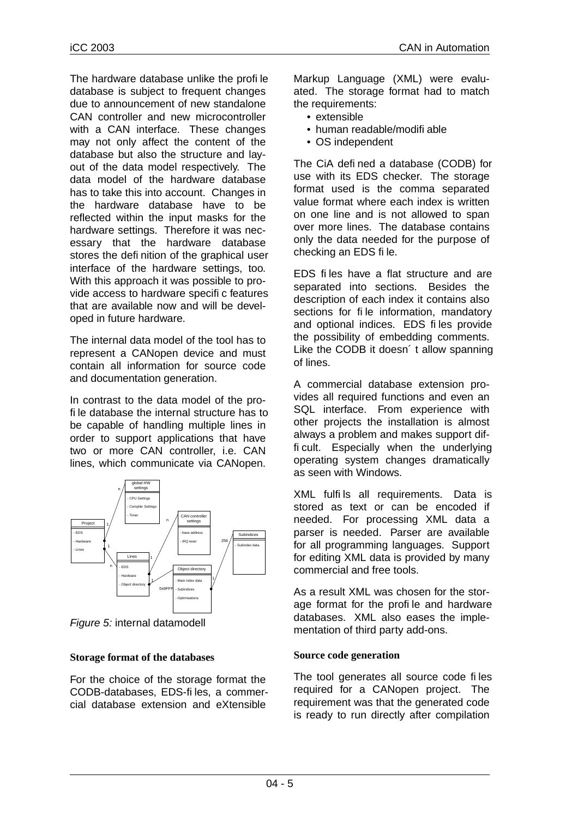The hardware database unlike the profile database is subject to frequent changes due to announcement of new standalone CAN controller and new microcontroller with a CAN interface. These changes may not only affect the content of the database but also the structure and layout of the data model respectively. The data model of the hardware database has to take this into account. Changes in the hardware database have to be reflected within the input masks for the hardware settings. Therefore it was necessary that the hardware database stores the definition of the graphical user interface of the hardware settings, too. With this approach it was possible to provide access to hardware specific features that are available now and will be developed in future hardware.

The internal data model of the tool has to represent a CANopen device and must contain all information for source code and documentation generation.

In contrast to the data model of the profile database the internal structure has to be capable of handling multiple lines in order to support applications that have two or more CAN controller, i.e. CAN lines, which communicate via CANopen.



Figure 5: internal datamodell

#### **Storage format of the databases**

For the choice of the storage format the CODB-databases, EDS-files,a commercial database extension and eXtensible

Markup Language (XML) were evaluated. The storage format had to match the requirements:

- extensible
- human readable/modifiable
- OS independent

The CiA defined a database (CODB) for use with its EDS checker. The storage format used is the comma separated value format where each index is written on one line and is not allowed to span over more lines. The database contains only the data needed for the purpose of checking an EDS file.

EDS files have a flat structure and are separated into sections. Besides the description of each index it contains also sections for file information, mandatory and optional indices. EDS files provide the possibility of embedding comments. Like the CODB it doesn't allow spanning of lines.

A commercial database extension provides all required functions and even an SQL interface. From experience with other projects the installation is almost always a problem and makes support difficult. Especially when the underlying operating system changes dramatically as seen with Windows.

XML fulfils all requirements. Data is stored as text or can be encoded if needed. For processing XML data a parser is needed. Parser are available for all programming languages. Support for editing XML data is provided by many commercial and free tools.

As a result XML was chosen for the storage format for the profile and hardware databases. XML also eases the implementation of third party add-ons.

#### **Source code generation**

The tool generates all source code files required for a CANopen project. The requirement was that the generated code is ready to run directly after compilation